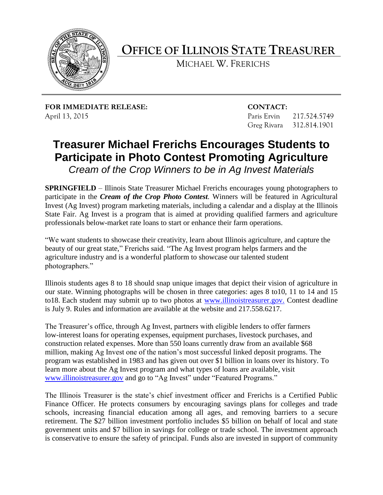

**OFFICE OF ILLINOIS STATE TREASURER**

MICHAEL W. FRERICHS

**FOR IMMEDIATE RELEASE: CONTACT:** April 13, 2015 **Paris Ervin 217.524.5749** 

Greg Rivara 312.814.1901

## **Treasurer Michael Frerichs Encourages Students to Participate in Photo Contest Promoting Agriculture**

*Cream of the Crop Winners to be in Ag Invest Materials* 

**SPRINGFIELD** – Illinois State Treasurer Michael Frerichs encourages young photographers to participate in the *Cream of the Crop Photo Contest.* Winners will be featured in Agricultural Invest (Ag Invest) program marketing materials, including a calendar and a display at the Illinois State Fair. Ag Invest is a program that is aimed at providing qualified farmers and agriculture professionals below-market rate loans to start or enhance their farm operations.

"We want students to showcase their creativity, learn about Illinois agriculture, and capture the beauty of our great state," Frerichs said. "The Ag Invest program helps farmers and the agriculture industry and is a wonderful platform to showcase our talented student photographers."

Illinois students ages 8 to 18 should snap unique images that depict their vision of agriculture in our state. Winning photographs will be chosen in three categories: ages 8 to10, 11 to 14 and 15 to18. Each student may submit up to two photos at [www.illinoistreasurer.gov.](http://www.illinoistreasurer.gov/) Contest deadline is July 9. Rules and information are available at the website and 217.558.6217.

The Treasurer's office, through Ag Invest, partners with eligible lenders to offer farmers low-interest loans for operating expenses, equipment purchases, livestock purchases, and construction related expenses. More than 550 loans currently draw from an available \$68 million, making Ag Invest one of the nation's most successful linked deposit programs. The program was established in 1983 and has given out over \$1 billion in loans over its history. To learn more about the Ag Invest program and what types of loans are available, visit [www.illinoistreasurer.gov](http://www.illinoistreasurer.gov/) and go to "Ag Invest" under "Featured Programs."

The Illinois Treasurer is the state's chief investment officer and Frerichs is a Certified Public Finance Officer. He protects consumers by encouraging savings plans for colleges and trade schools, increasing financial education among all ages, and removing barriers to a secure retirement. The \$27 billion investment portfolio includes \$5 billion on behalf of local and state government units and \$7 billion in savings for college or trade school. The investment approach is conservative to ensure the safety of principal. Funds also are invested in support of community